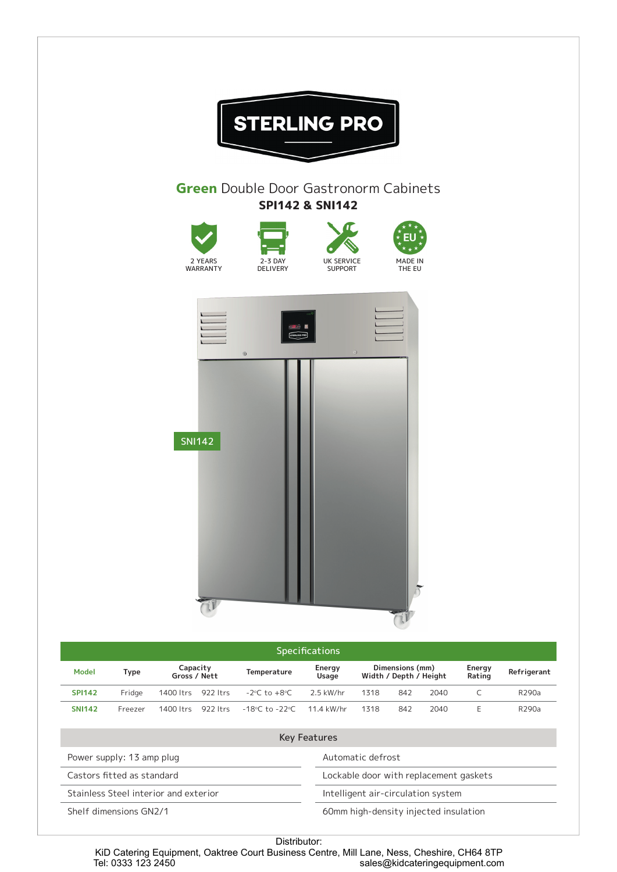

| <b>Key Features</b>                   |                                        |
|---------------------------------------|----------------------------------------|
| Power supply: 13 amp plug             | Automatic defrost                      |
| Castors fitted as standard            | Lockable door with replacement gaskets |
| Stainless Steel interior and exterior | Intelligent air-circulation system     |
| Shelf dimensions GN2/1                | 60mm high-density injected insulation  |
|                                       |                                        |

Distributor: KiD Catering Equipment, Oaktree Court Business Centre, Mill Lane, Ness, Cheshire, CH64 8TP<br>sales@kidcateringequipment.com sales@kidcateringequipment.com